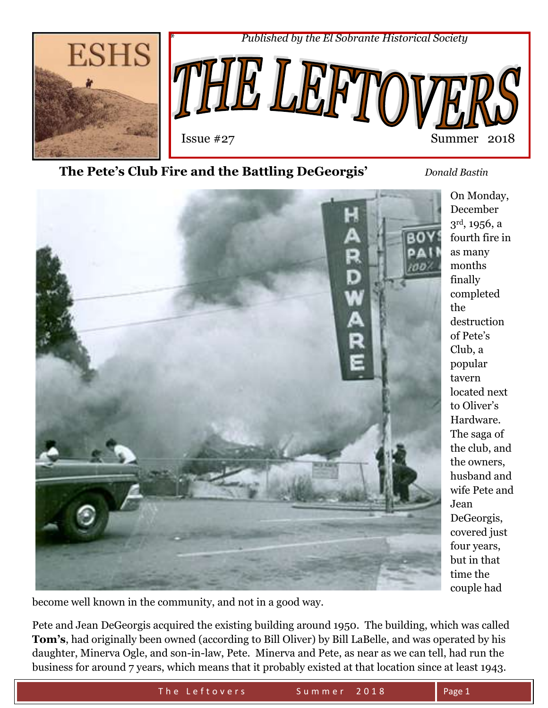

## **The Pete's Club Fire and the Battling DeGeorgis'** *Donald Bastin*



become well known in the community, and not in a good way.

Pete and Jean DeGeorgis acquired the existing building around 1950. The building, which was called **Tom's**, had originally been owned (according to Bill Oliver) by Bill LaBelle, and was operated by his daughter, Minerva Ogle, and son-in-law, Pete. Minerva and Pete, as near as we can tell, had run the business for around 7 years, which means that it probably existed at that location since at least 1943.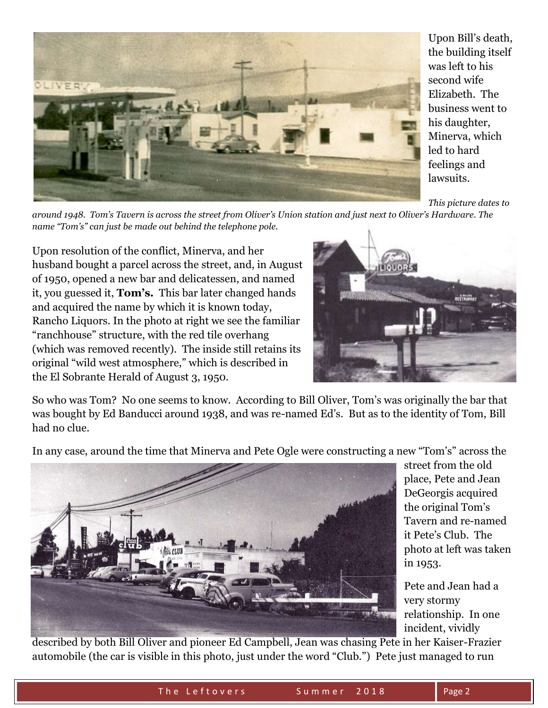

Upon Bill's death, the building itself was left to his second wife Elizabeth. The business went to his daughter, Minerva, which led to hard feelings and lawsuits.

*This picture dates to* 

*around 1948. Tom's Tavern is across the street from Oliver's Union station and just next to Oliver's Hardware. The name "Tom's" can just be made out behind the telephone pole.*

Upon resolution of the conflict, Minerva, and her husband bought a parcel across the street, and, in August of 1950, opened a new bar and delicatessen, and named it, you guessed it, **Tom's.** This bar later changed hands and acquired the name by which it is known today, Rancho Liquors. In the photo at right we see the familiar "ranchhouse" structure, with the red tile overhang (which was removed recently). The inside still retains its original "wild west atmosphere," which is described in the El Sobrante Herald of August 3, 1950.



So who was Tom? No one seems to know. According to Bill Oliver, Tom's was originally the bar that was bought by Ed Banducci around 1938, and was re-named Ed's. But as to the identity of Tom, Bill had no clue.

In any case, around the time that Minerva and Pete Ogle were constructing a new "Tom's" across the



street from the old place, Pete and Jean DeGeorgis acquired the original Tom's Tavern and re-named it Pete's Club. The photo at left was taken in 1953.

Pete and Jean had a very stormy relationship. In one incident, vividly

described by both Bill Oliver and pioneer Ed Campbell, Jean was chasing Pete in her Kaiser-Frazier automobile (the car is visible in this photo, just under the word "Club.") Pete just managed to run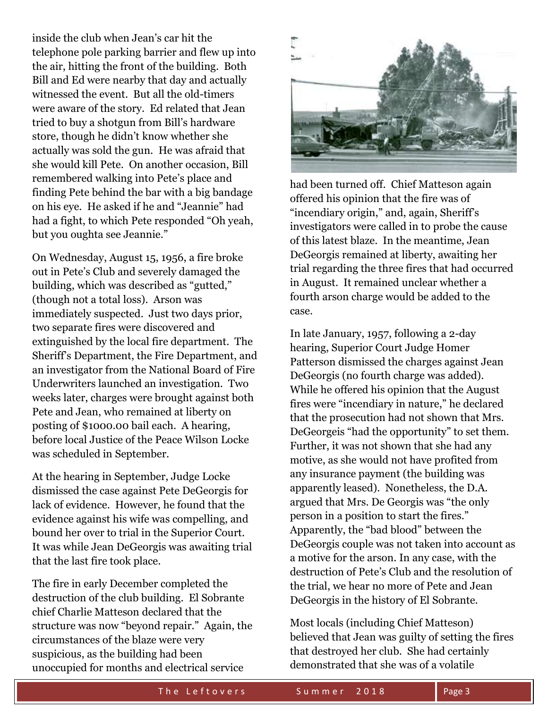inside the club when Jean's car hit the telephone pole parking barrier and flew up into the air, hitting the front of the building. Both Bill and Ed were nearby that day and actually witnessed the event. But all the old-timers were aware of the story. Ed related that Jean tried to buy a shotgun from Bill's hardware store, though he didn't know whether she actually was sold the gun. He was afraid that she would kill Pete. On another occasion, Bill remembered walking into Pete's place and finding Pete behind the bar with a big bandage on his eye. He asked if he and "Jeannie" had had a fight, to which Pete responded "Oh yeah, but you oughta see Jeannie."

On Wednesday, August 15, 1956, a fire broke out in Pete's Club and severely damaged the building, which was described as "gutted," (though not a total loss). Arson was immediately suspected. Just two days prior, two separate fires were discovered and extinguished by the local fire department. The Sheriff's Department, the Fire Department, and an investigator from the National Board of Fire Underwriters launched an investigation. Two weeks later, charges were brought against both Pete and Jean, who remained at liberty on posting of \$1000.00 bail each. A hearing, before local Justice of the Peace Wilson Locke was scheduled in September.

At the hearing in September, Judge Locke dismissed the case against Pete DeGeorgis for lack of evidence. However, he found that the evidence against his wife was compelling, and bound her over to trial in the Superior Court. It was while Jean DeGeorgis was awaiting trial that the last fire took place.

The fire in early December completed the destruction of the club building. El Sobrante chief Charlie Matteson declared that the structure was now "beyond repair." Again, the circumstances of the blaze were very suspicious, as the building had been unoccupied for months and electrical service



had been turned off. Chief Matteson again offered his opinion that the fire was of "incendiary origin," and, again, Sheriff's investigators were called in to probe the cause of this latest blaze. In the meantime, Jean DeGeorgis remained at liberty, awaiting her trial regarding the three fires that had occurred in August. It remained unclear whether a fourth arson charge would be added to the case.

In late January, 1957, following a 2-day hearing, Superior Court Judge Homer Patterson dismissed the charges against Jean DeGeorgis (no fourth charge was added). While he offered his opinion that the August fires were "incendiary in nature," he declared that the prosecution had not shown that Mrs. DeGeorgeis "had the opportunity" to set them. Further, it was not shown that she had any motive, as she would not have profited from any insurance payment (the building was apparently leased). Nonetheless, the D.A. argued that Mrs. De Georgis was "the only person in a position to start the fires." Apparently, the "bad blood" between the DeGeorgis couple was not taken into account as a motive for the arson. In any case, with the destruction of Pete's Club and the resolution of the trial, we hear no more of Pete and Jean DeGeorgis in the history of El Sobrante.

Most locals (including Chief Matteson) believed that Jean was guilty of setting the fires that destroyed her club. She had certainly demonstrated that she was of a volatile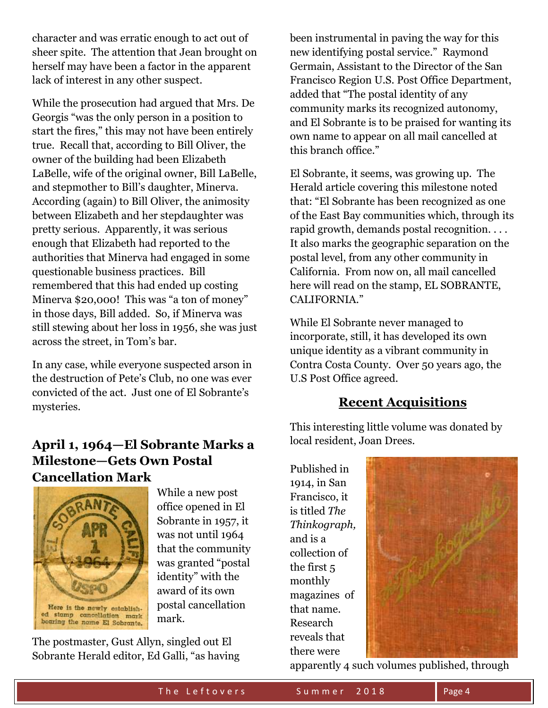character and was erratic enough to act out of sheer spite. The attention that Jean brought on herself may have been a factor in the apparent lack of interest in any other suspect.

While the prosecution had argued that Mrs. De Georgis "was the only person in a position to start the fires," this may not have been entirely true. Recall that, according to Bill Oliver, the owner of the building had been Elizabeth LaBelle, wife of the original owner, Bill LaBelle, and stepmother to Bill's daughter, Minerva. According (again) to Bill Oliver, the animosity between Elizabeth and her stepdaughter was pretty serious. Apparently, it was serious enough that Elizabeth had reported to the authorities that Minerva had engaged in some questionable business practices. Bill remembered that this had ended up costing Minerva \$20,000! This was "a ton of money" in those days, Bill added. So, if Minerva was still stewing about her loss in 1956, she was just across the street, in Tom's bar.

In any case, while everyone suspected arson in the destruction of Pete's Club, no one was ever convicted of the act. Just one of El Sobrante's mysteries.

# **April 1, 1964—El Sobrante Marks a Milestone—Gets Own Postal Cancellation Mark**



While a new post office opened in El Sobrante in 1957, it was not until 1964 that the community was granted "postal identity" with the award of its own postal cancellation mark.

The postmaster, Gust Allyn, singled out El Sobrante Herald editor, Ed Galli, "as having

been instrumental in paving the way for this new identifying postal service." Raymond Germain, Assistant to the Director of the San Francisco Region U.S. Post Office Department, added that "The postal identity of any community marks its recognized autonomy, and El Sobrante is to be praised for wanting its own name to appear on all mail cancelled at this branch office."

El Sobrante, it seems, was growing up. The Herald article covering this milestone noted that: "El Sobrante has been recognized as one of the East Bay communities which, through its rapid growth, demands postal recognition. . . . It also marks the geographic separation on the postal level, from any other community in California. From now on, all mail cancelled here will read on the stamp, EL SOBRANTE, CALIFORNIA."

While El Sobrante never managed to incorporate, still, it has developed its own unique identity as a vibrant community in Contra Costa County. Over 50 years ago, the U.S Post Office agreed.

## **Recent Acquisitions**

This interesting little volume was donated by local resident, Joan Drees.

Published in 1914, in San Francisco, it is titled *The Thinkograph,* and is a collection of the first 5 monthly magazines of that name. Research reveals that there were



apparently 4 such volumes published, through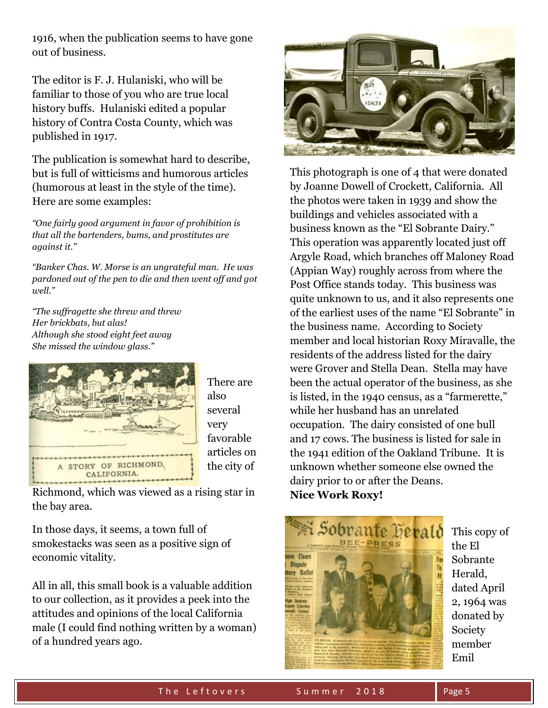1916, when the publication seems to have gone out of business.

The editor is F. J. Hulaniski, who will be familiar to those of you who are true local history buffs. Hulaniski edited a popular history of Contra Costa County, which was published in 1917.

The publication is somewhat hard to describe, but is full of witticisms and humorous articles (humorous at least in the style of the time). Here are some examples:

*"One fairly good argument in favor of prohibition is that all the bartenders, bums, and prostitutes are against it."*

*"Banker Chas. W. Morse is an ungrateful man. He was pardoned out of the pen to die and then went off and got well."*

*"The suffragette she threw and threw Her brickbats, but alas! Although she stood eight feet away She missed the window glass."*



There are also several very favorable articles on the city of

Richmond, which was viewed as a rising star in the bay area.

In those days, it seems, a town full of smokestacks was seen as a positive sign of economic vitality.

All in all, this small book is a valuable addition to our collection, as it provides a peek into the attitudes and opinions of the local California male (I could find nothing written by a woman) of a hundred years ago.



This photograph is one of 4 that were donated by Joanne Dowell of Crockett, California. All the photos were taken in 1939 and show the buildings and vehicles associated with a business known as the "El Sobrante Dairy." This operation was apparently located just off Argyle Road, which branches off Maloney Road (Appian Way) roughly across from where the Post Office stands today. This business was quite unknown to us, and it also represents one of the earliest uses of the name "El Sobrante" in the business name. According to Society member and local historian Roxy Miravalle, the residents of the address listed for the dairy were Grover and Stella Dean. Stella may have been the actual operator of the business, as she is listed, in the 1940 census, as a "farmerette," while her husband has an unrelated occupation. The dairy consisted of one bull and 17 cows. The business is listed for sale in the 1941 edition of the Oakland Tribune. It is unknown whether someone else owned the dairy prior to or after the Deans. **Nice Work Roxy!**



This copy of the El Sobrante Herald, dated April 2, 1964 was donated by Society member Emil